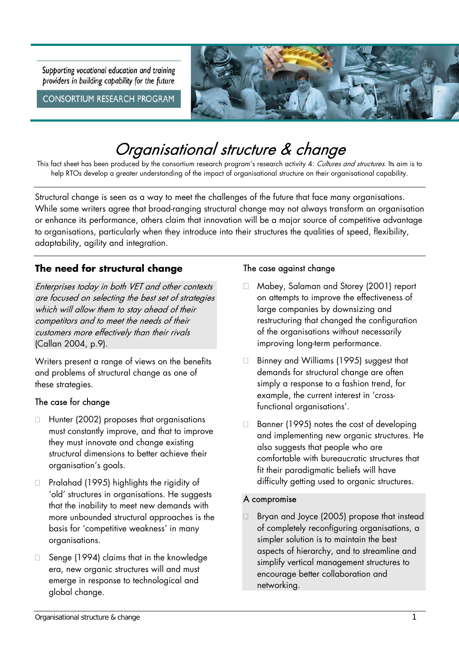Supporting vocational education and training providers in building capability for the future

**CONSORTIUM RESEARCH PROGRAM** 



# Organisational structure & change

This fact sheet has been produced by the consortium research program's research activity 4: Cultures and structures. Its aim is to help RTOs develop a greater understanding of the impact of organisational structure on their organisational capability.

Structural change is seen as a way to meet the challenges of the future that face many organisations. While some writers agree that broad-ranging structural change may not always transform an organisation or enhance its performance, others claim that innovation will be a major source of competitive advantage to organisations, particularly when they introduce into their structures the qualities of speed, flexibility, adaptability, agility and integration.

# **The need for structural change**

Enterprises today in both VET and other contexts are focused on selecting the best set of strategies which will allow them to stay ahead of their competitors and to meet the needs of their customers more effectively than their rivals (Callan 2004, p.9).

Writers present a range of views on the benefits and problems of structural change as one of these strategies.

#### The case for change

- $\Box$  Hunter (2002) proposes that organisations must constantly improve, and that to improve they must innovate and change existing structural dimensions to better achieve their organisation's goals.
- $\Box$  Pralahad (1995) highlights the rigidity of 'old' structures in organisations. He suggests that the inability to meet new demands with more unbounded structural approaches is the basis for 'competitive weakness' in many organisations.
- $\Box$  Senge (1994) claims that in the knowledge era, new organic structures will and must emerge in response to technological and global change.

#### The case against change

- Mabey, Salaman and Storey (2001) report on attempts to improve the effectiveness of large companies by downsizing and restructuring that changed the configuration of the organisations without necessarily improving long-term performance.
- □ Binney and Williams (1995) suggest that demands for structural change are often simply a response to a fashion trend, for example, the current interest in 'crossfunctional organisations'.
- $\Box$  Banner (1995) notes the cost of developing and implementing new organic structures. He also suggests that people who are comfortable with bureaucratic structures that fit their paradigmatic beliefs will have difficulty getting used to organic structures.

#### A compromise

 $\Box$  Bryan and Joyce (2005) propose that instead of completely reconfiguring organisations, a simpler solution is to maintain the best aspects of hierarchy, and to streamline and simplify vertical management structures to encourage better collaboration and networking.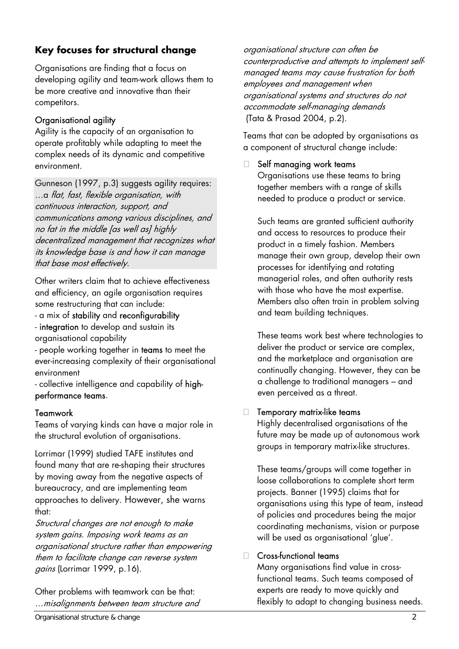# **Key focuses for structural change**

Organisations are finding that a focus on developing agility and team-work allows them to be more creative and innovative than their competitors.

# Organisational agility

Agility is the capacity of an organisation to operate profitably while adapting to meet the complex needs of its dynamic and competitive environment.

Gunneson (1997, p.3) suggests agility requires: ... a flat, fast, flexible organisation, with continuous interaction, support, and communications among various disciplines, and no fat in the middle [as well as] highly decentralized management that recognizes what its knowledge base is and how it can manage that base most effectively.

Other writers claim that to achieve effectiveness and efficiency, an agile organisation requires some restructuring that can include:

- a mix of stability and reconfigurability
- integration to develop and sustain its organisational capability
- people working together in teams to meet the ever-increasing complexity of their organisational environment

- collective intelligence and capability of highperformance teams.

## Teamwork

Teams of varying kinds can have a major role in the structural evolution of organisations.

Lorrimar (1999) studied TAFE institutes and found many that are re-shaping their structures by moving away from the negative aspects of bureaucracy, and are implementing team approaches to delivery. However, she warns that:

Structural changes are not enough to make system gains. Imposing work teams as an organisational structure rather than empowering them to facilitate change can reverse system gains (Lorrimar 1999, p.16).

Other problems with teamwork can be that: ⁄misalignments between team structure and Teams that can be adopted by organisations as a component of structural change include:

#### $\Box$  Self managing work teams

Organisations use these teams to bring together members with a range of skills needed to produce a product or service.

Such teams are granted sufficient authority and access to resources to produce their product in a timely fashion. Members manage their own group, develop their own processes for identifying and rotating managerial roles, and often authority rests with those who have the most expertise. Members also often train in problem solving and team building techniques.

These teams work best where technologies to deliver the product or service are complex, and the marketplace and organisation are continually changing. However, they can be a challenge to traditional managers - and even perceived as a threat.

## $\Box$  Temporary matrix-like teams

Highly decentralised organisations of the future may be made up of autonomous work groups in temporary matrix-like structures.

These teams/groups will come together in loose collaborations to complete short term projects. Banner (1995) claims that for organisations using this type of team, instead of policies and procedures being the major coordinating mechanisms, vision or purpose will be used as organisational 'glue'.

#### □ Cross-functional teams

Many organisations find value in crossfunctional teams. Such teams composed of experts are ready to move quickly and flexibly to adapt to changing business needs.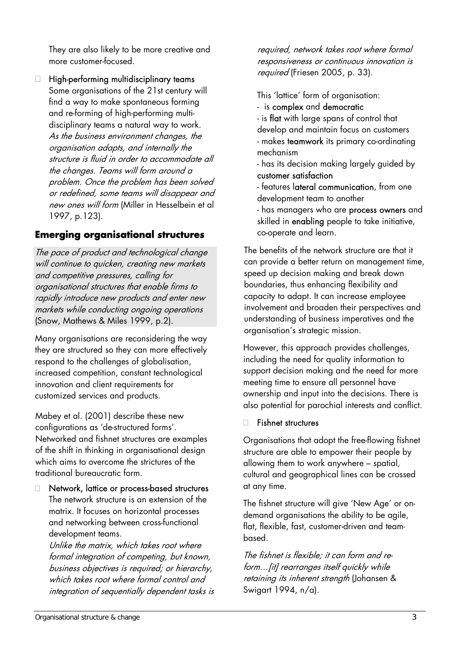They are also likely to be more creative and more customer-focused.

 $\Box$  High-performing multidisciplinary teams Some organisations of the 21st century will find a way to make spontaneous forming and re-forming of high-performing multidisciplinary teams a natural way to work. As the business environment changes, the organisation adapts, and internally the structure is fluid in order to accommodate all the changes. Teams will form around a problem. Once the problem has been solved or redefined, some teams will disappear and new ones will form (Miller in Hesselbein et al 1997, p.123).

# **Emerging organisational structures**

The pace of product and technological change will continue to quicken, creating new markets and competitive pressures, calling for organisational structures that enable firms to rapidly introduce new products and enter new markets while conducting ongoing operations (Snow, Mathews & Miles 1999, p.2).

Many organisations are reconsidering the way they are structured so they can more effectively respond to the challenges of globalisation, increased competition, constant technological innovation and client requirements for customized services and products.

Mabey et al. (2001) describe these new configurations as 'de-structured forms'. Networked and fishnet structures are examples of the shift in thinking in organisational design which aims to overcome the strictures of the traditional bureaucratic form.

□ Network, lattice or process-based structures The network structure is an extension of the matrix. It focuses on horizontal processes and networking between cross-functional development teams.

Unlike the matrix, which takes root where formal integration of competing, but known, business objectives is required; or hierarchy, which takes root where formal control and integration of sequentially dependent tasks is required, network takes root where formal responsiveness or continuous innovation is required (Friesen 2005, p. 33).

This 'lattice' form of organisation:

- is complex and democratic
- is flat with large spans of control that develop and maintain focus on customers - makes **teamwork** its primary co-ordinating mechanism
- has its decision making largely guided by customer satisfaction
- features lateral communication, from one development team to another
- has managers who are **process owners** and skilled in **enabling** people to take initiative, co-operate and learn.

The benefits of the network structure are that it can provide a better return on management time, speed up decision making and break down boundaries, thus enhancing flexibility and capacity to adapt. It can increase employee involvement and broaden their perspectives and understanding of business imperatives and the organisation's strategic mission.

However, this approach provides challenges, including the need for quality information to support decision making and the need for more meeting time to ensure all personnel have ownership and input into the decisions. There is also potential for parochial interests and conflict.

#### □ Fishnet structures

Organisations that adopt the free-flowing fishnet structure are able to empower their people by allowing them to work anywhere – spatial, cultural and geographical lines can be crossed at any time.

The fishnet structure will give 'New Age' or ondemand organisations the ability to be agile, flat, flexible, fast, customer-driven and teambased.

The fishnet is flexible; it can form and reform... [it] rearranges itself quickly while retaining its inherent strength (Johansen & Swigart 1994, n/a).